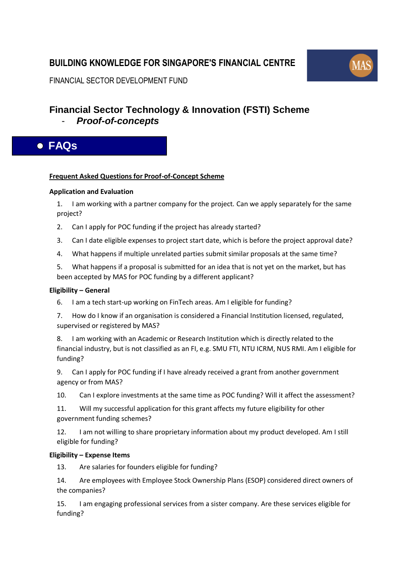## **BUILDING KNOWLEDGE FOR SINGAPORE'S FINANCIAL CENTRE**



FINANCIAL SECTOR DEVELOPMENT FUND

# **Financial Sector Technology & Innovation (FSTI) Scheme**

- *Proof-of-concepts*

## **FAQs**

## **Frequent Asked Questions for Proof-of-Concept Scheme**

## **[Application and Evaluation](#page-1-0)**

1. [I am working with a partner company for the project. Can we apply separately for the same](#page-1-1)  [project?](#page-1-1)

- 2. [Can I apply for POC funding if the project has already started?](#page-1-2)
- 3. [Can I date eligible expenses to project start date, which is before the project approval date?](#page-1-3)
- 4. [What happens if multiple unrelated parties submit similar proposals at the same time?](#page-1-4)
- 5. [What happens if a proposal is submitted for an idea that is not yet on the market, but has](#page-2-0)  [been accepted by MAS for POC funding by a different applicant?](#page-2-0)

## **[Eligibility](#page-2-1) – General**

- 6. [I am a tech start-up working on FinTech areas. Am I eligible for funding?](#page-2-2)
- 7. How do [I know if an organisation is considered a Financial Institution licensed, regulated,](#page-2-3)  [supervised or registered by MAS?](#page-2-3)

8. [I am working with an Academic or Research Institution which is directly related to the](#page-2-4)  [financial industry, but is not classified as an FI, e.g. SMU FTI, NTU ICRM, NUS RMI. Am I eligible for](#page-2-4)  [funding?](#page-2-4)

9. [Can I apply for POC funding if I have already received a grant from another government](#page-3-0)  [agency or from MAS?](#page-3-0)

10. [Can I explore investments at the same time as POC funding? Will it affect the assessment?](#page-3-1)

11. [Will my successful application for this grant affects my future eligibility for other](#page-3-2)  [government funding schemes?](#page-3-2)

12. [I am not willing to share proprietary information about my product developed. Am I still](#page-3-3)  [eligible for funding?](#page-3-3)

## **Eligibility – [Expense Items](#page-4-0)**

13. [Are salaries for founders eligible for funding?](#page-4-1)

14. [Are employees with Employee Stock Ownership Plans \(ESOP\) considered direct owners of](#page-4-2)  [the companies?](#page-4-2)

15. [I am engaging professional services from a sister company. Are these services eligible for](#page-4-3)  [funding?](#page-4-3)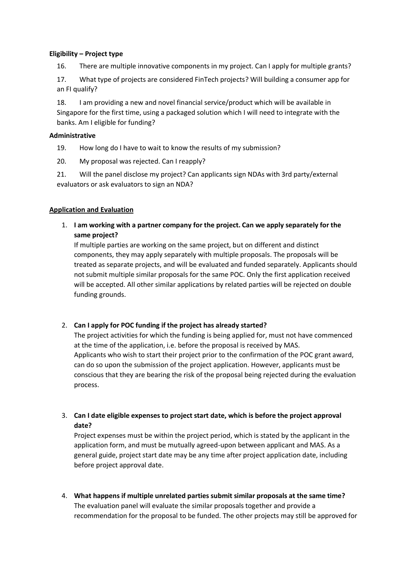#### **Eligibility – [Project type](#page-4-4)**

16. [There are multiple innovative components in my project. Can I apply for multiple grants?](#page-4-5)

17. [What type of projects are considered FinTech projects? Will building a consumer app for](#page-5-0)  [an FI qualify?](#page-5-0)

18. [I am providing a new and novel financial service/product which will be available in](#page-5-1)  [Singapore for the first time, using a packaged solution which I will need to integrate with the](#page-5-1)  [banks. Am I eligible for funding?](#page-5-1)

#### **[Administrative](#page-5-2)**

19. [How long do I have to wait to know the results of my submission?](#page-5-3)

20. [My proposal was rejected. Can I reapply?](#page-5-4)

21. [Will the panel disclose my project? Can applicants sign NDAs with 3rd party/external](#page-6-0)  [evaluators or ask evaluators to sign an NDA?](#page-6-0)

#### <span id="page-1-0"></span>**Application and Evaluation**

<span id="page-1-1"></span>1. **I am working with a partner company for the project. Can we apply separately for the same project?**

If multiple parties are working on the same project, but on different and distinct components, they may apply separately with multiple proposals. The proposals will be treated as separate projects, and will be evaluated and funded separately. Applicants should not submit multiple similar proposals for the same POC. Only the first application received will be accepted. All other similar applications by related parties will be rejected on double funding grounds.

## <span id="page-1-2"></span>2. **Can I apply for POC funding if the project has already started?**

The project activities for which the funding is being applied for, must not have commenced at the time of the application, i.e. before the proposal is received by MAS. Applicants who wish to start their project prior to the confirmation of the POC grant award, can do so upon the submission of the project application. However, applicants must be conscious that they are bearing the risk of the proposal being rejected during the evaluation process.

## <span id="page-1-3"></span>3. **Can I date eligible expenses to project start date, which is before the project approval date?**

Project expenses must be within the project period, which is stated by the applicant in the application form, and must be mutually agreed-upon between applicant and MAS. As a general guide, project start date may be any time after project application date, including before project approval date.

<span id="page-1-4"></span>4. **What happens if multiple unrelated parties submit similar proposals at the same time?** The evaluation panel will evaluate the similar proposals together and provide a recommendation for the proposal to be funded. The other projects may still be approved for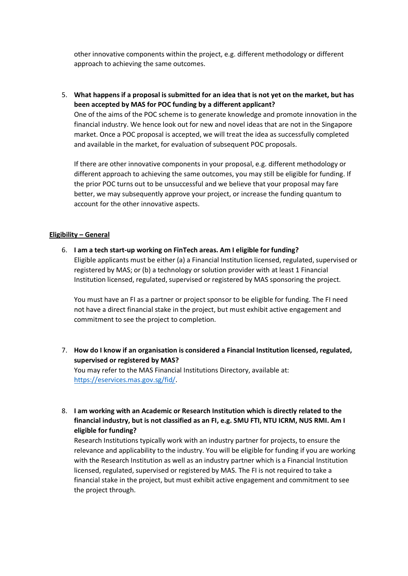other innovative components within the project, e.g. different methodology or different approach to achieving the same outcomes.

<span id="page-2-0"></span>5. **What happens if a proposal is submitted for an idea that is not yet on the market, but has been accepted by MAS for POC funding by a different applicant?** One of the aims of the POC scheme is to generate knowledge and promote innovation in the

financial industry. We hence look out for new and novel ideas that are not in the Singapore market. Once a POC proposal is accepted, we will treat the idea as successfully completed and available in the market, for evaluation of subsequent POC proposals.

If there are other innovative components in your proposal, e.g. different methodology or different approach to achieving the same outcomes, you may still be eligible for funding. If the prior POC turns out to be unsuccessful and we believe that your proposal may fare better, we may subsequently approve your project, or increase the funding quantum to account for the other innovative aspects.

#### <span id="page-2-1"></span>**Eligibility – General**

<span id="page-2-2"></span>6. **I am a tech start-up working on FinTech areas. Am I eligible for funding?** Eligible applicants must be either (a) a Financial Institution licensed, regulated, supervised or registered by MAS; or (b) a technology or solution provider with at least 1 Financial Institution licensed, regulated, supervised or registered by MAS sponsoring the project.

You must have an FI as a partner or project sponsor to be eligible for funding. The FI need not have a direct financial stake in the project, but must exhibit active engagement and commitment to see the project to completion.

<span id="page-2-3"></span>7. **How do I know if an organisation is considered a Financial Institution licensed, regulated, supervised or registered by MAS?** You may refer to the MAS Financial Institutions Directory, available at:

[https://eservices.mas.gov.sg/fid/.](https://eservices.mas.gov.sg/fid/)

<span id="page-2-4"></span>8. **I am working with an Academic or Research Institution which is directly related to the financial industry, but is not classified as an FI, e.g. SMU FTI, NTU ICRM, NUS RMI. Am I eligible for funding?**

Research Institutions typically work with an industry partner for projects, to ensure the relevance and applicability to the industry. You will be eligible for funding if you are working with the Research Institution as well as an industry partner which is a Financial Institution licensed, regulated, supervised or registered by MAS. The FI is not required to take a financial stake in the project, but must exhibit active engagement and commitment to see the project through.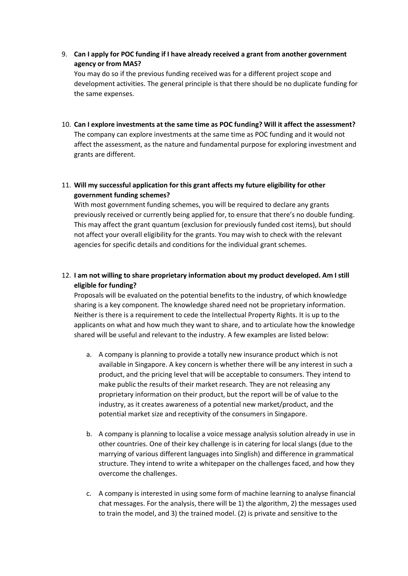<span id="page-3-0"></span>9. **Can I apply for POC funding if I have already received a grant from another government agency or from MAS?**

You may do so if the previous funding received was for a different project scope and development activities. The general principle is that there should be no duplicate funding for the same expenses.

<span id="page-3-1"></span>10. **Can I explore investments at the same time as POC funding? Will it affect the assessment?** The company can explore investments at the same time as POC funding and it would not affect the assessment, as the nature and fundamental purpose for exploring investment and grants are different.

## <span id="page-3-2"></span>11. **Will my successful application for this grant affects my future eligibility for other government funding schemes?**

With most government funding schemes, you will be required to declare any grants previously received or currently being applied for, to ensure that there's no double funding. This may affect the grant quantum (exclusion for previously funded cost items), but should not affect your overall eligibility for the grants. You may wish to check with the relevant agencies for specific details and conditions for the individual grant schemes.

## <span id="page-3-3"></span>12. **I am not willing to share proprietary information about my product developed. Am I still eligible for funding?**

Proposals will be evaluated on the potential benefits to the industry, of which knowledge sharing is a key component. The knowledge shared need not be proprietary information. Neither is there is a requirement to cede the Intellectual Property Rights. It is up to the applicants on what and how much they want to share, and to articulate how the knowledge shared will be useful and relevant to the industry. A few examples are listed below:

- a. A company is planning to provide a totally new insurance product which is not available in Singapore. A key concern is whether there will be any interest in such a product, and the pricing level that will be acceptable to consumers. They intend to make public the results of their market research. They are not releasing any proprietary information on their product, but the report will be of value to the industry, as it creates awareness of a potential new market/product, and the potential market size and receptivity of the consumers in Singapore.
- b. A company is planning to localise a voice message analysis solution already in use in other countries. One of their key challenge is in catering for local slangs (due to the marrying of various different languages into Singlish) and difference in grammatical structure. They intend to write a whitepaper on the challenges faced, and how they overcome the challenges.
- c. A company is interested in using some form of machine learning to analyse financial chat messages. For the analysis, there will be 1) the algorithm, 2) the messages used to train the model, and 3) the trained model. (2) is private and sensitive to the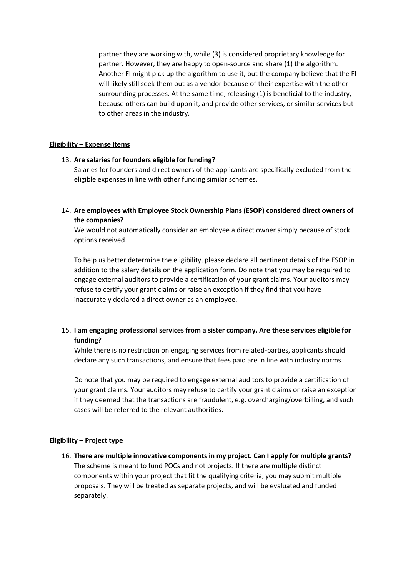partner they are working with, while (3) is considered proprietary knowledge for partner. However, they are happy to open-source and share (1) the algorithm. Another FI might pick up the algorithm to use it, but the company believe that the FI will likely still seek them out as a vendor because of their expertise with the other surrounding processes. At the same time, releasing (1) is beneficial to the industry, because others can build upon it, and provide other services, or similar services but to other areas in the industry.

#### <span id="page-4-0"></span>**Eligibility – Expense Items**

#### <span id="page-4-1"></span>13. **Are salaries for founders eligible for funding?**

Salaries for founders and direct owners of the applicants are specifically excluded from the eligible expenses in line with other funding similar schemes.

<span id="page-4-2"></span>14. **Are employees with Employee Stock Ownership Plans (ESOP) considered direct owners of the companies?**

We would not automatically consider an employee a direct owner simply because of stock options received.

To help us better determine the eligibility, please declare all pertinent details of the ESOP in addition to the salary details on the application form. Do note that you may be required to engage external auditors to provide a certification of your grant claims. Your auditors may refuse to certify your grant claims or raise an exception if they find that you have inaccurately declared a direct owner as an employee.

## <span id="page-4-3"></span>15. **I am engaging professional services from a sister company. Are these services eligible for funding?**

While there is no restriction on engaging services from related-parties, applicants should declare any such transactions, and ensure that fees paid are in line with industry norms.

Do note that you may be required to engage external auditors to provide a certification of your grant claims. Your auditors may refuse to certify your grant claims or raise an exception if they deemed that the transactions are fraudulent, e.g. overcharging/overbilling, and such cases will be referred to the relevant authorities.

## <span id="page-4-5"></span><span id="page-4-4"></span>**Eligibility – Project type**

16. **There are multiple innovative components in my project. Can I apply for multiple grants?** The scheme is meant to fund POCs and not projects. If there are multiple distinct components within your project that fit the qualifying criteria, you may submit multiple proposals. They will be treated as separate projects, and will be evaluated and funded separately.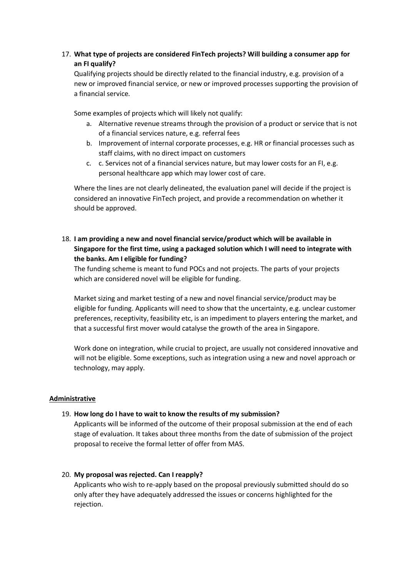## <span id="page-5-0"></span>17. **What type of projects are considered FinTech projects? Will building a consumer app for an FI qualify?**

Qualifying projects should be directly related to the financial industry, e.g. provision of a new or improved financial service, or new or improved processes supporting the provision of a financial service.

Some examples of projects which will likely not qualify:

- a. Alternative revenue streams through the provision of a product or service that is not of a financial services nature, e.g. referral fees
- b. Improvement of internal corporate processes, e.g. HR or financial processes such as staff claims, with no direct impact on customers
- c. c. Services not of a financial services nature, but may lower costs for an FI, e.g. personal healthcare app which may lower cost of care.

Where the lines are not clearly delineated, the evaluation panel will decide if the project is considered an innovative FinTech project, and provide a recommendation on whether it should be approved.

<span id="page-5-1"></span>18. **I am providing a new and novel financial service/product which will be available in Singapore for the first time, using a packaged solution which I will need to integrate with the banks. Am I eligible for funding?**

The funding scheme is meant to fund POCs and not projects. The parts of your projects which are considered novel will be eligible for funding.

Market sizing and market testing of a new and novel financial service/product may be eligible for funding. Applicants will need to show that the uncertainty, e.g. unclear customer preferences, receptivity, feasibility etc, is an impediment to players entering the market, and that a successful first mover would catalyse the growth of the area in Singapore.

Work done on integration, while crucial to project, are usually not considered innovative and will not be eligible. Some exceptions, such as integration using a new and novel approach or technology, may apply.

## <span id="page-5-2"></span>**Administrative**

#### <span id="page-5-3"></span>19. **How long do I have to wait to know the results of my submission?**

Applicants will be informed of the outcome of their proposal submission at the end of each stage of evaluation. It takes about three months from the date of submission of the project proposal to receive the formal letter of offer from MAS.

#### <span id="page-5-4"></span>20. **My proposal was rejected. Can I reapply?**

Applicants who wish to re-apply based on the proposal previously submitted should do so only after they have adequately addressed the issues or concerns highlighted for the rejection.